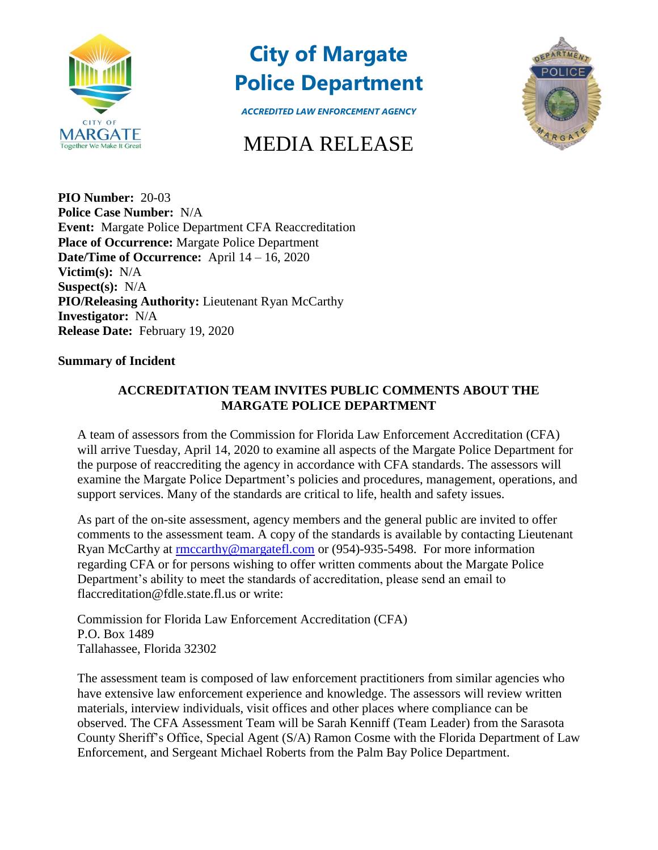

## **City of Margate Police Department**



*ACCREDITED LAW ENFORCEMENT AGENCY*

## MEDIA RELEASE

**PIO Number:** 20-03 **Police Case Number:** N/A **Event:** Margate Police Department CFA Reaccreditation **Place of Occurrence:** Margate Police Department **Date/Time of Occurrence:** April 14 – 16, 2020 **Victim(s):** N/A **Suspect(s):** N/A **PIO/Releasing Authority:** Lieutenant Ryan McCarthy **Investigator:** N/A **Release Date:** February 19, 2020

## **Summary of Incident**

## **ACCREDITATION TEAM INVITES PUBLIC COMMENTS ABOUT THE MARGATE POLICE DEPARTMENT**

A team of assessors from the Commission for Florida Law Enforcement Accreditation (CFA) will arrive Tuesday, April 14, 2020 to examine all aspects of the Margate Police Department for the purpose of reaccrediting the agency in accordance with CFA standards. The assessors will examine the Margate Police Department's policies and procedures, management, operations, and support services. Many of the standards are critical to life, health and safety issues.

As part of the on-site assessment, agency members and the general public are invited to offer comments to the assessment team. A copy of the standards is available by contacting Lieutenant Ryan McCarthy at [rmccarthy@margatefl.com](mailto:rmccarthy@margatefl.com) or (954)-935-5498. For more information regarding CFA or for persons wishing to offer written comments about the Margate Police Department's ability to meet the standards of accreditation, please send an email to flaccreditation@fdle.state.fl.us or write:

Commission for Florida Law Enforcement Accreditation (CFA) P.O. Box 1489 Tallahassee, Florida 32302

The assessment team is composed of law enforcement practitioners from similar agencies who have extensive law enforcement experience and knowledge. The assessors will review written materials, interview individuals, visit offices and other places where compliance can be observed. The CFA Assessment Team will be Sarah Kenniff (Team Leader) from the Sarasota County Sheriff's Office, Special Agent (S/A) Ramon Cosme with the Florida Department of Law Enforcement, and Sergeant Michael Roberts from the Palm Bay Police Department.